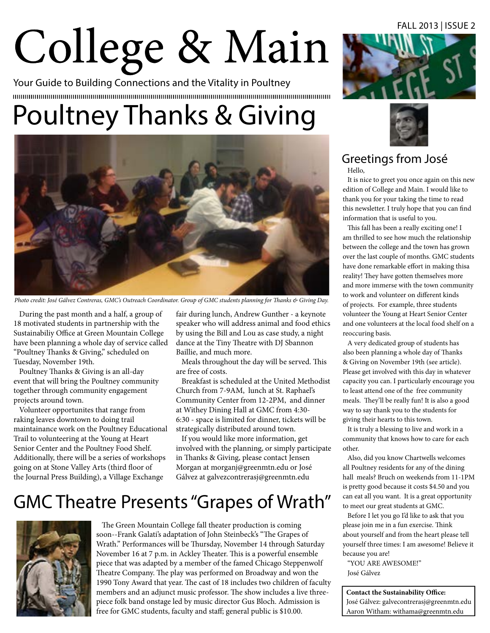# College & Main

Your Guide to Building Connections and the Vitality in Poultney 

# Poultney Thanks & Giving



Photo credit: José Gálvez Contreras, GMC's Outreach Coordinator. Group of GMC students planning for Thanks & Giving Day.

During the past month and a half, a group of 18 motivated students in partnership with the Sustainabiliy Office at Green Mountain College have been planning a whole day of service called "Poultney Thanks & Giving," scheduled on Tuesday, November 19th.

Poultney Thanks & Giving is an all-day event that will bring the Poultney community together through community engagement projects around town.

Volunteer opportunites that range from raking leaves downtown to doing trail maintainance work on the Poultney Educational Trail to volunteering at the Young at Heart Senior Center and the Poultney Food Shelf. Additionally, there will be a series of workshops going on at Stone Valley Arts (third floor of the Journal Press Building), a Village Exchange

fair during lunch, Andrew Gunther - a keynote speaker who will address animal and food ethics by using the Bill and Lou as case study, a night dance at the Tiny Theatre with DJ Sbannon Baillie, and much more.

Meals throughout the day will be served. This are free of costs.

Breakfast is scheduled at the United Methodist Church from 7-9AM, lunch at St. Raphael's Community Center from 12-2PM, and dinner at Withey Dining Hall at GMC from 4:30- 6:30 - space is limited for dinner, tickets will be strategically distributed around town.

If you would like more information, get involved with the planning, or simply participate in Thanks & Giving, please contact Jensen Morgan at morganj@greenmtn.edu or José Gálvez at galvezcontrerasj@greenmtn.edu

# GMC Theatre Presents "Grapes of Wrath"



The Green Mountain College fall theater production is coming soon--Frank Galati's adaptation of John Steinbeck's "The Grapes of Wrath." Performances will be Thursday, November 14 through Saturday November 16 at 7 p.m. in Ackley Theater. This is a powerful ensemble piece that was adapted by a member of the famed Chicago Steppenwolf Theatre Company. The play was performed on Broadway and won the 1990 Tony Award that year. The cast of 18 includes two children of faculty members and an adjunct music professor. The show includes a live threepiece folk band onstage led by music director Gus Bloch. Admission is free for GMC students, faculty and staff; general public is \$10.00.





## Greetings from José

Hello,

It is nice to greet you once again on this new edition of College and Main. I would like to thank you for your taking the time to read this newsletter. I truly hope that you can find information that is useful to you.

This fall has been a really exciting one! I am thrilled to see how much the relationship between the college and the town has grown over the last couple of months. GMC students have done remarkable effort in making thisa reality! They have gotten themselves more and more immerse with the town community to work and volunteer on different kinds of projects. For example, three students volunteer the Young at Heart Senior Center and one volunteers at the local food shelf on a reoccuring basis.

A very dedicated group of students has also been planning a whole day of Thanks & Giving on November 19th (see article). Please get involved with this day in whatever capacity you can. I particularly encourage you to least attend one of the free community meals. They'll be really fun! It is also a good way to say thank you to the students for giving their hearts to this town.

It is truly a blessing to live and work in a community that knows how to care for each other.

Also, did you know Chartwells welcomes all Poultney residents for any of the dining hall meals? Bruch on weekends from 11-1PM is pretty good because it costs \$4.50 and you can eat all you want. It is a great opportunity to meet our great students at GMC.

Before I let you go I'd like to ask that you please join me in a fun exercise. Think about yourself and from the heart please tell yourself three times: I am awesome! Believe it because you are!

"YOU ARE AWESOME!" José Gálvez

**Contact the Sustainability Office:** José Gálvez: galvecontrerasj@greenmtn.edu Aaron Witham: withama@greenmtn.edu